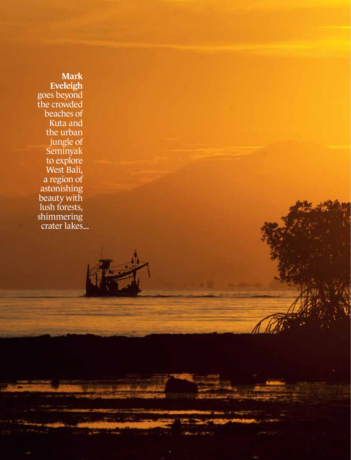Mark Eveleigh goes beyond the crowded beaches of Kuta and the urban jungle of Seminyak to explore West Bali, a region of astonishing beauty with lush forests, shimmering crater lakes...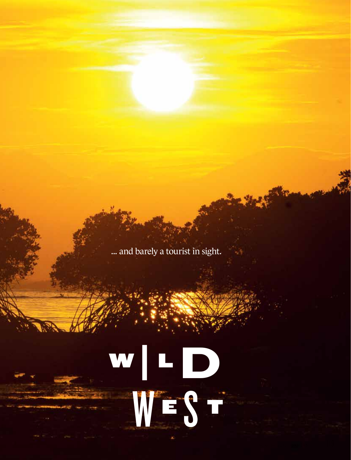... and barely a tourist in sight.

## W | L D WEST<sup>T</sup>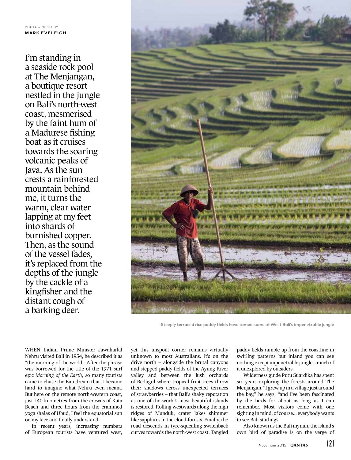I'm standing in a seaside rock pool at The Menjangan, a boutique resort nestled in the jungle on Bali's north-west coast, mesmerised by the faint hum of a Madurese fishing boat as it cruises towards the soaring volcanic peaks of Java. As the sun crests a rainforested mountain behind me, it turns the warm, clear water lapping at my feet into shards of burnished copper. Then, as the sound of the vessel fades, it's replaced from the depths of the jungle by the cackle of a kingfisher and the distant cough of a barking deer.



Steeply terraced rice paddy fields have tamed some of West Bali's impenetrable jungle

WHEN Indian Prime Minister Jawaharlal Nehru visited Bali in 1954, he described it as "the morning of the world". After the phrase was borrowed for the title of the 1971 surf epic *Morning of the Earth*, so many tourists came to chase the Bali dream that it became hard to imagine what Nehru even meant. But here on the remote north-western coast, just 140 kilometres from the crowds of Kuta Beach and three hours from the crammed yoga shalas of Ubud, I feel the equatorial sun on my face and finally understand.

In recent years, increasing numbers of European tourists have ventured west, yet this unspoilt corner remains virtually unknown to most Australians. It's on the drive north – alongside the brutal canyons and stepped paddy fields of the Ayung River valley and between the lush orchards of Bedugul where tropical fruit trees throw their shadows across unexpected terraces of strawberries – that Bali's shaky reputation as one of the world's most beautiful islands is restored. Rolling westwards along the high ridges of Munduk, crater lakes shimmer like sapphires in the cloud-forests. Finally, the road descends in tyre-squealing switchback curves towards the north-west coast. Tangled

paddy fields ramble up from the coastline in swirling patterns but inland you can see nothing except impenetrable jungle – much of it unexplored by outsiders.

Wilderness guide Putu Suardika has spent six years exploring the forests around The Menjangan. "I grew up in a village just around the bay," he says, "and I've been fascinated by the birds for about as long as I can remember. Most visitors come with one sighting in mind, of course... everybody wants to see Bali starlings."

Also known as the Bali mynah, the island's own bird of paradise is on the verge of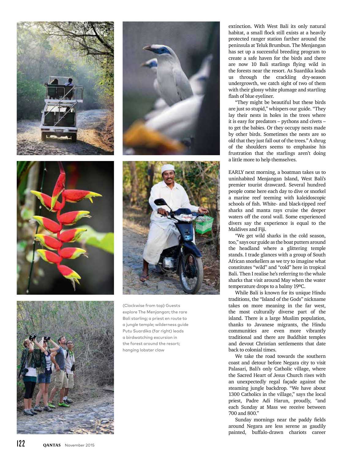









(Clockwise from top) Guests explore The Menjangan; the rare Bali starling; a priest en route to a jungle temple; wilderness guide Putu Suardika (far right) leads a birdwatching excursion in the forest around the resort; hanging lobster claw

extinction. With West Bali its only natural habitat, a small flock still exists at a heavily protected ranger station farther around the peninsula at Teluk Brumbun. The Menjangan has set up a successful breeding program to create a safe haven for the birds and there are now 10 Bali starlings flying wild in the forests near the resort. As Suardika leads us through the crackling dry-season undergrowth, we catch sight of two of them with their glossy white plumage and startling flash of blue eyeliner.

"They might be beautiful but these birds are just so stupid," whispers our guide. "They lay their nests in holes in the trees where it is easy for predators – pythons and civets – to get the babies. Or they occupy nests made by other birds. Sometimes the nests are so old that they just fall out of the trees." A shrug of the shoulders seems to emphasise his frustration that the starlings aren't doing a little more to help themselves.

EARLY next morning, a boatman takes us to uninhabited Menjangan Island, West Bali's premier tourist drawcard. Several hundred people come here each day to dive or snorkel a marine reef teeming with kaleidoscopic schools of fish. White- and black-tipped reef sharks and manta rays cruise the deeper waters off the coral wall. Some experienced divers say the experience is equal to the Maldives and Fiji.

"We get wild sharks in the cold season, too," says our guide as the boat putters around the headland where a glittering temple stands. I trade glances with a group of South African snorkellers as we try to imagine what constitutes "wild" and "cold" here in tropical Bali. Then I realise he's referring to the whale sharks that visit around May when the water temperature drops to a balmy 19ºC.

While Bali is known for its unique Hindu traditions, the "Island of the Gods" nickname takes on more meaning in the far west, the most culturally diverse part of the island. There is a large Muslim population, thanks to Javanese migrants, the Hindu communities are even more vibrantly traditional and there are Buddhist temples and devout Christian settlements that date back to colonial times.

We take the road towards the southern coast and detour before Negara city to visit Palasari, Bali's only Catholic village, where the Sacred Heart of Jesus Church rises with an unexpectedly regal façade against the steaming jungle backdrop. "We have about 1300 Catholics in the village," says the local priest, Padre Adi Harun, proudly, "and each Sunday at Mass we receive between 700 and 800."

Sunday mornings near the paddy fields around Negara are less serene as gaudily painted, buffalo-drawn chariots career